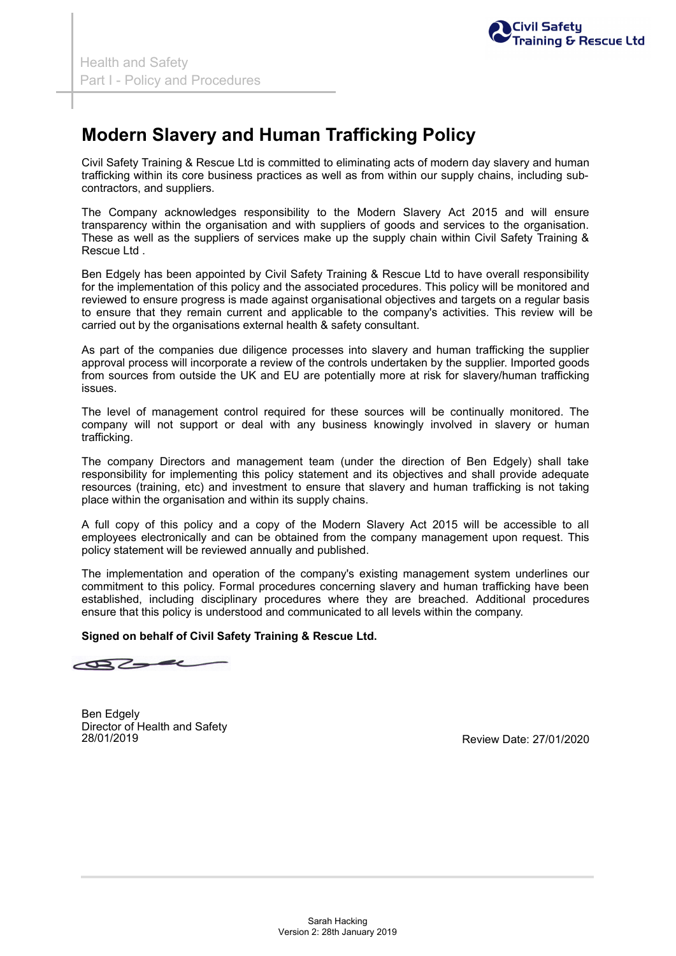## **Modern Slavery and Human Trafficking Policy**

24/01/2019 Civil Safety Training & Rescue Ltd H&S Policy -

Civil Safety Training & Rescue Ltd is committed to eliminating acts of modern day slavery and human trafficking within its core business practices as well as from within our supply chains, including subcontractors, and suppliers.

The Company acknowledges responsibility to the Modern Slavery Act 2015 and will ensure transparency within the organisation and with suppliers of goods and services to the organisation. These as well as the suppliers of services make up the supply chain within Civil Safety Training & Rescue Ltd .

Ben Edgely has been appointed by Civil Safety Training & Rescue Ltd to have overall responsibility for the implementation of this policy and the associated procedures. This policy will be monitored and reviewed to ensure progress is made against organisational objectives and targets on a regular basis to ensure that they remain current and applicable to the company's activities. This review will be carried out by the organisations external health & safety consultant.

As part of the companies due diligence processes into slavery and human trafficking the supplier approval process will incorporate a review of the controls undertaken by the supplier. Imported goods from sources from outside the UK and EU are potentially more at risk for slavery/human trafficking issues.

The level of management control required for these sources will be continually monitored. The company will not support or deal with any business knowingly involved in slavery or human trafficking.

The company Directors and management team (under the direction of Ben Edgely) shall take responsibility for implementing this policy statement and its objectives and shall provide adequate resources (training, etc) and investment to ensure that slavery and human trafficking is not taking place within the organisation and within its supply chains.

A full copy of this policy and a copy of the Modern Slavery Act 2015 will be accessible to all employees electronically and can be obtained from the company management upon request. This policy statement will be reviewed annually and published.

The implementation and operation of the company's existing management system underlines our commitment to this policy. Formal procedures concerning slavery and human trafficking have been established, including disciplinary procedures where they are breached. Additional procedures ensure that this policy is understood and communicated to all levels within the company.

## **Signed on behalf of Civil Safety Training & Rescue Ltd.**

27.

Ben Edgely Director of Health and Safety 28/01/2019

Review Date: 27/01/2020